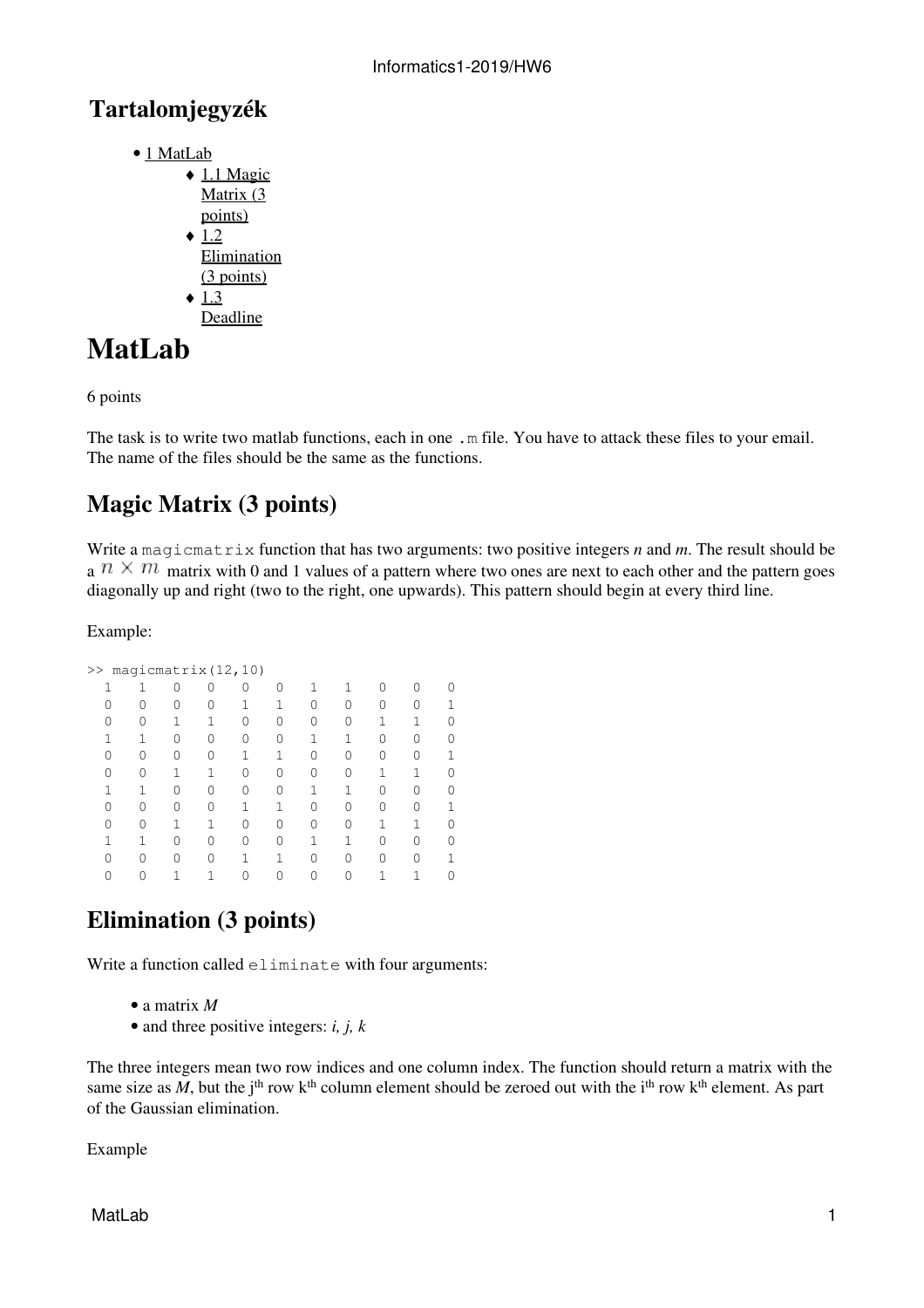### **Tartalomjegyzék**

- <u>[1 MatLab](http://wiki.math.bme.hu#MatLab)</u>
	- $\triangleleft$  [1.1 Magic](http://wiki.math.bme.hu#Magic_Matrix_.283_points.29) [Matrix \(3](http://wiki.math.bme.hu#Magic_Matrix_.283_points.29)) [points\)](http://wiki.math.bme.hu#Magic_Matrix_.283_points.29)  $\div$  [1.2](http://wiki.math.bme.hu#Elimination_.283_points.29) [Elimination](http://wiki.math.bme.hu#Elimination_.283_points.29) [\(3 points\)](http://wiki.math.bme.hu#Elimination_.283_points.29)  $\triangleleft$  [1.3](http://wiki.math.bme.hu#Deadline) [Deadline](http://wiki.math.bme.hu#Deadline)

# **MatLab**

6 points

The task is to write two matlab functions, each in one . m file. You have to attack these files to your email. The name of the files should be the same as the functions.

## **Magic Matrix (3 points)**

Write a magicmatrix function that has two arguments: two positive integers *n* and *m*. The result should be a  $n \times m$  matrix with 0 and 1 values of a pattern where two ones are next to each other and the pattern goes diagonally up and right (two to the right, one upwards). This pattern should begin at every third line.

#### Example:

| >> | magicmatrix (12, 10) |   |   |                  |   |   |  |
|----|----------------------|---|---|------------------|---|---|--|
|    |                      |   | Ω |                  |   | Λ |  |
|    |                      | 0 |   | Λ                |   | 0 |  |
|    |                      |   | Ω | $\left( \right)$ |   |   |  |
|    |                      | 0 |   |                  |   | 0 |  |
|    |                      |   |   | 0                |   | Λ |  |
|    |                      |   |   |                  |   | 1 |  |
|    |                      |   |   |                  |   | ∩ |  |
|    |                      |   |   | Λ                |   | ∩ |  |
|    |                      |   | Λ | Λ                |   | 1 |  |
|    |                      | Ω |   |                  |   | ∩ |  |
|    |                      |   |   | Λ                | Λ | ∩ |  |
|    |                      |   |   |                  |   |   |  |
|    |                      |   |   |                  |   |   |  |

## **Elimination (3 points)**

Write a function called eliminate with four arguments:

- a matrix *M*
- and three positive integers: *i, j, k*

The three integers mean two row indices and one column index. The function should return a matrix with the same size as  $\tilde{M}$ , but the j<sup>th</sup> row k<sup>th</sup> column element should be zeroed out with the i<sup>th</sup> row k<sup>th</sup> element. As part of the Gaussian elimination.

Example